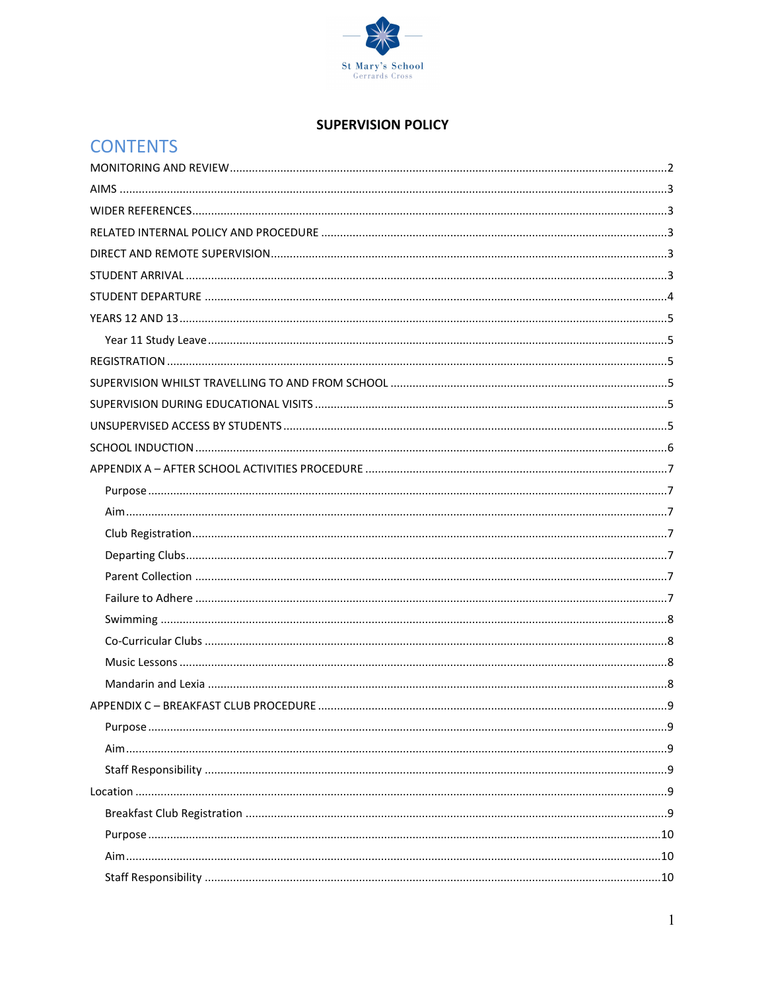

## **SUPERVISION POLICY**

| <b>CONTENTS</b> |  |  |
|-----------------|--|--|
|                 |  |  |
|                 |  |  |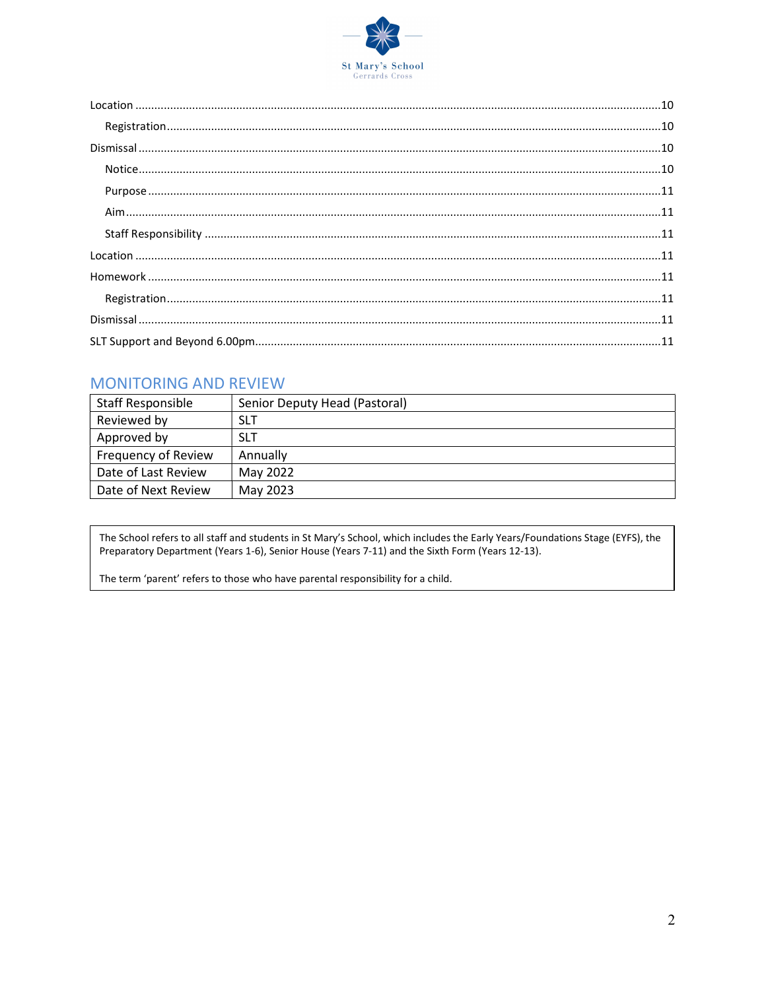

# **MONITORING AND REVIEW**

| <b>Staff Responsible</b>   | Senior Deputy Head (Pastoral) |
|----------------------------|-------------------------------|
| Reviewed by                | <b>SLT</b>                    |
| Approved by                | <b>SLT</b>                    |
| <b>Frequency of Review</b> | Annually                      |
| Date of Last Review        | May 2022                      |
| Date of Next Review        | May 2023                      |

The School refers to all staff and students in St Mary's School, which includes the Early Years/Foundations Stage (EYFS), the Preparatory Department (Years 1-6), Senior House (Years 7-11) and the Sixth Form (Years 12-13).

The term 'parent' refers to those who have parental responsibility for a child.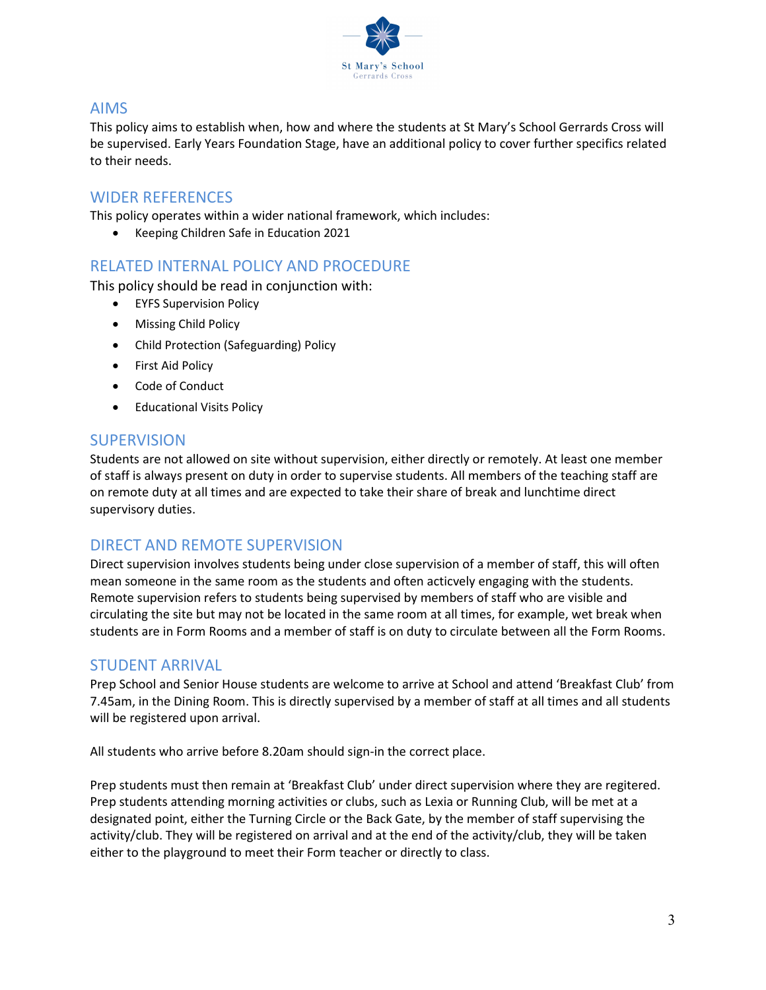

## AIMS

This policy aims to establish when, how and where the students at St Mary's School Gerrards Cross will be supervised. Early Years Foundation Stage, have an additional policy to cover further specifics related to their needs.

## WIDER REFERENCES

This policy operates within a wider national framework, which includes:

Keeping Children Safe in Education 2021

## RELATED INTERNAL POLICY AND PROCEDURE

This policy should be read in conjunction with:

- **•** EYFS Supervision Policy
- Missing Child Policy
- Child Protection (Safeguarding) Policy
- **•** First Aid Policy
- Code of Conduct
- **•** Educational Visits Policy

### **SUPERVISION**

Students are not allowed on site without supervision, either directly or remotely. At least one member of staff is always present on duty in order to supervise students. All members of the teaching staff are on remote duty at all times and are expected to take their share of break and lunchtime direct supervisory duties.

## DIRECT AND REMOTE SUPERVISION

Direct supervision involves students being under close supervision of a member of staff, this will often mean someone in the same room as the students and often acticvely engaging with the students. Remote supervision refers to students being supervised by members of staff who are visible and circulating the site but may not be located in the same room at all times, for example, wet break when students are in Form Rooms and a member of staff is on duty to circulate between all the Form Rooms.

## STUDENT ARRIVAL

Prep School and Senior House students are welcome to arrive at School and attend 'Breakfast Club' from 7.45am, in the Dining Room. This is directly supervised by a member of staff at all times and all students will be registered upon arrival.

All students who arrive before 8.20am should sign-in the correct place.

Prep students must then remain at 'Breakfast Club' under direct supervision where they are regitered. Prep students attending morning activities or clubs, such as Lexia or Running Club, will be met at a designated point, either the Turning Circle or the Back Gate, by the member of staff supervising the activity/club. They will be registered on arrival and at the end of the activity/club, they will be taken either to the playground to meet their Form teacher or directly to class.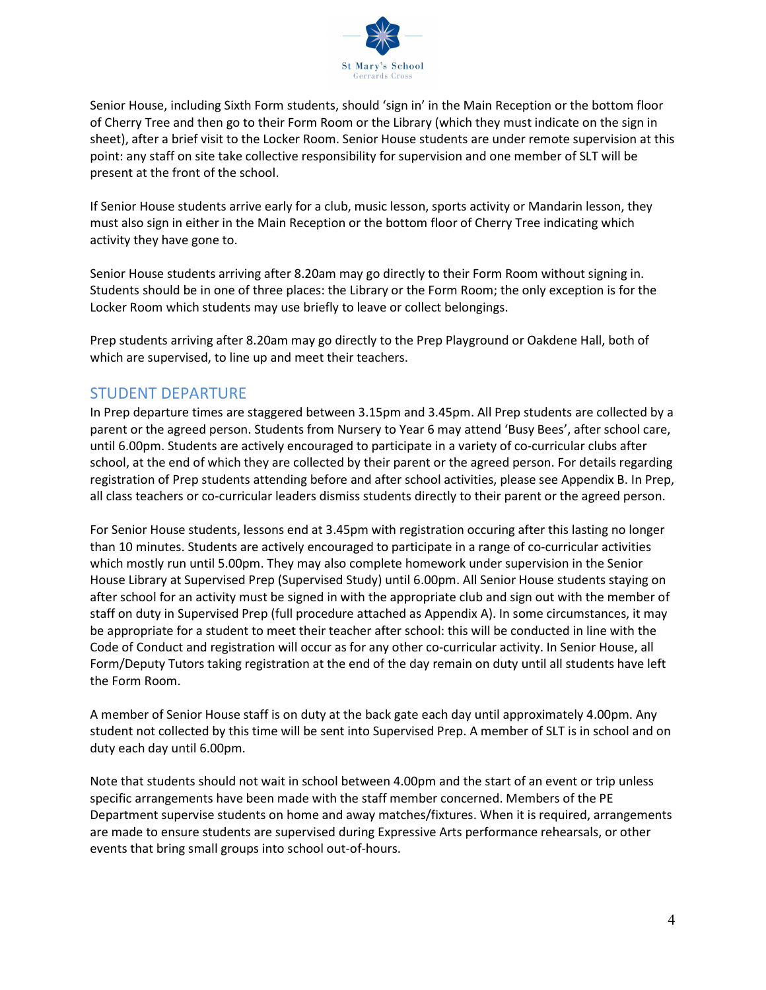

Senior House, including Sixth Form students, should 'sign in' in the Main Reception or the bottom floor of Cherry Tree and then go to their Form Room or the Library (which they must indicate on the sign in sheet), after a brief visit to the Locker Room. Senior House students are under remote supervision at this point: any staff on site take collective responsibility for supervision and one member of SLT will be present at the front of the school.

If Senior House students arrive early for a club, music lesson, sports activity or Mandarin lesson, they must also sign in either in the Main Reception or the bottom floor of Cherry Tree indicating which activity they have gone to.

Senior House students arriving after 8.20am may go directly to their Form Room without signing in. Students should be in one of three places: the Library or the Form Room; the only exception is for the Locker Room which students may use briefly to leave or collect belongings.

Prep students arriving after 8.20am may go directly to the Prep Playground or Oakdene Hall, both of which are supervised, to line up and meet their teachers.

## STUDENT DEPARTURE

In Prep departure times are staggered between 3.15pm and 3.45pm. All Prep students are collected by a parent or the agreed person. Students from Nursery to Year 6 may attend 'Busy Bees', after school care, until 6.00pm. Students are actively encouraged to participate in a variety of co-curricular clubs after school, at the end of which they are collected by their parent or the agreed person. For details regarding registration of Prep students attending before and after school activities, please see Appendix B. In Prep, all class teachers or co-curricular leaders dismiss students directly to their parent or the agreed person.

For Senior House students, lessons end at 3.45pm with registration occuring after this lasting no longer than 10 minutes. Students are actively encouraged to participate in a range of co-curricular activities which mostly run until 5.00pm. They may also complete homework under supervision in the Senior House Library at Supervised Prep (Supervised Study) until 6.00pm. All Senior House students staying on after school for an activity must be signed in with the appropriate club and sign out with the member of staff on duty in Supervised Prep (full procedure attached as Appendix A). In some circumstances, it may be appropriate for a student to meet their teacher after school: this will be conducted in line with the Code of Conduct and registration will occur as for any other co-curricular activity. In Senior House, all Form/Deputy Tutors taking registration at the end of the day remain on duty until all students have left the Form Room.

A member of Senior House staff is on duty at the back gate each day until approximately 4.00pm. Any student not collected by this time will be sent into Supervised Prep. A member of SLT is in school and on duty each day until 6.00pm.

Note that students should not wait in school between 4.00pm and the start of an event or trip unless specific arrangements have been made with the staff member concerned. Members of the PE Department supervise students on home and away matches/fixtures. When it is required, arrangements are made to ensure students are supervised during Expressive Arts performance rehearsals, or other events that bring small groups into school out-of-hours.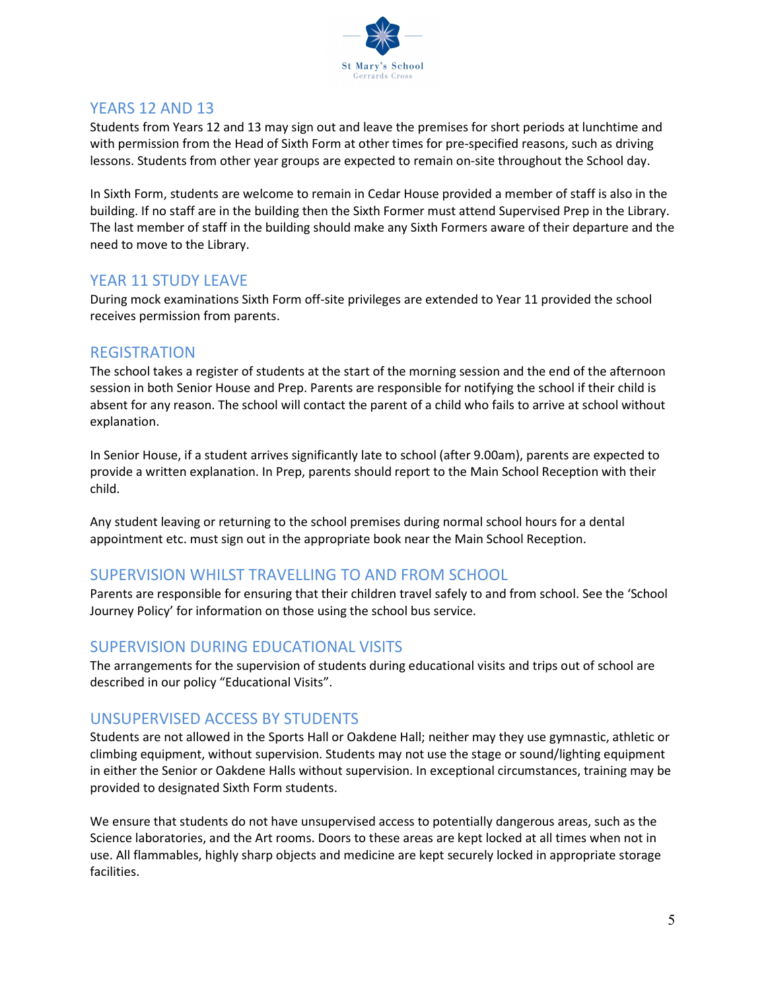

## YEARS 12 AND 13

Students from Years 12 and 13 may sign out and leave the premises for short periods at lunchtime and with permission from the Head of Sixth Form at other times for pre-specified reasons, such as driving lessons. Students from other year groups are expected to remain on-site throughout the School day.

In Sixth Form, students are welcome to remain in Cedar House provided a member of staff is also in the building. If no staff are in the building then the Sixth Former must attend Supervised Prep in the Library. The last member of staff in the building should make any Sixth Formers aware of their departure and the need to move to the Library.

## YFAR 11 STUDY LEAVE

During mock examinations Sixth Form off-site privileges are extended to Year 11 provided the school receives permission from parents.

## REGISTRATION

The school takes a register of students at the start of the morning session and the end of the afternoon session in both Senior House and Prep. Parents are responsible for notifying the school if their child is absent for any reason. The school will contact the parent of a child who fails to arrive at school without explanation.

In Senior House, if a student arrives significantly late to school (after 9.00am), parents are expected to provide a written explanation. In Prep, parents should report to the Main School Reception with their child.

Any student leaving or returning to the school premises during normal school hours for a dental appointment etc. must sign out in the appropriate book near the Main School Reception.

## SUPERVISION WHILST TRAVELLING TO AND FROM SCHOOL

Parents are responsible for ensuring that their children travel safely to and from school. See the 'School Journey Policy' for information on those using the school bus service.

## SUPERVISION DURING EDUCATIONAL VISITS

The arrangements for the supervision of students during educational visits and trips out of school are described in our policy "Educational Visits".

## UNSUPERVISED ACCESS BY STUDENTS

Students are not allowed in the Sports Hall or Oakdene Hall; neither may they use gymnastic, athletic or climbing equipment, without supervision. Students may not use the stage or sound/lighting equipment in either the Senior or Oakdene Halls without supervision. In exceptional circumstances, training may be provided to designated Sixth Form students.

We ensure that students do not have unsupervised access to potentially dangerous areas, such as the Science laboratories, and the Art rooms. Doors to these areas are kept locked at all times when not in use. All flammables, highly sharp objects and medicine are kept securely locked in appropriate storage facilities.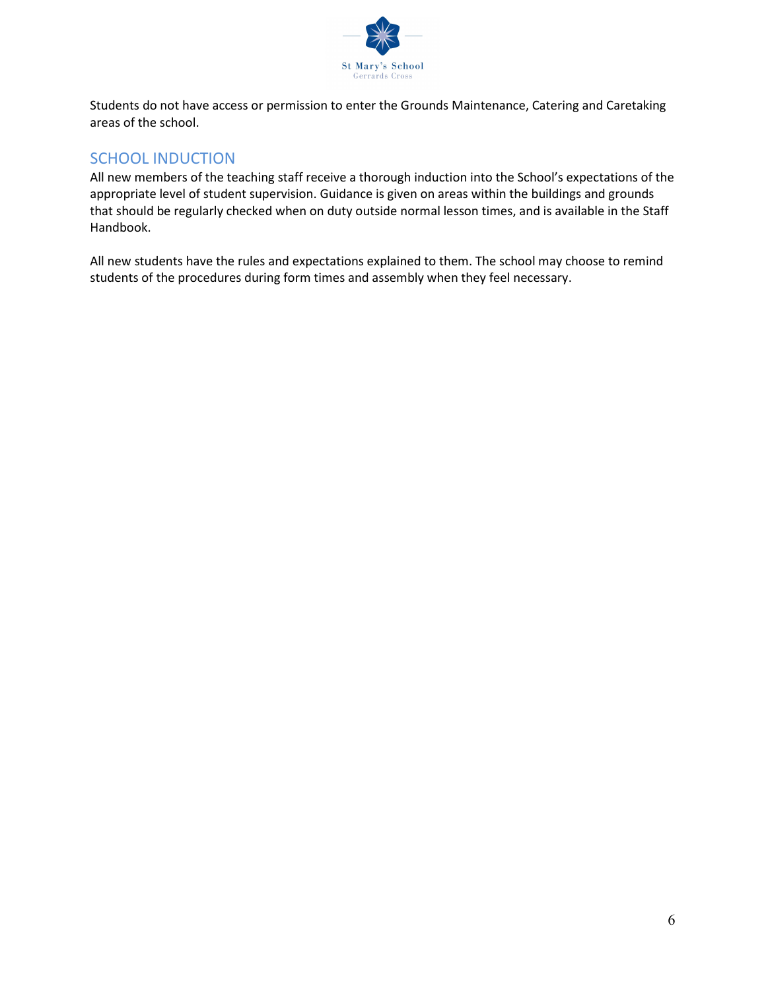

Students do not have access or permission to enter the Grounds Maintenance, Catering and Caretaking areas of the school.

## SCHOOL INDUCTION

All new members of the teaching staff receive a thorough induction into the School's expectations of the appropriate level of student supervision. Guidance is given on areas within the buildings and grounds that should be regularly checked when on duty outside normal lesson times, and is available in the Staff Handbook.

All new students have the rules and expectations explained to them. The school may choose to remind students of the procedures during form times and assembly when they feel necessary.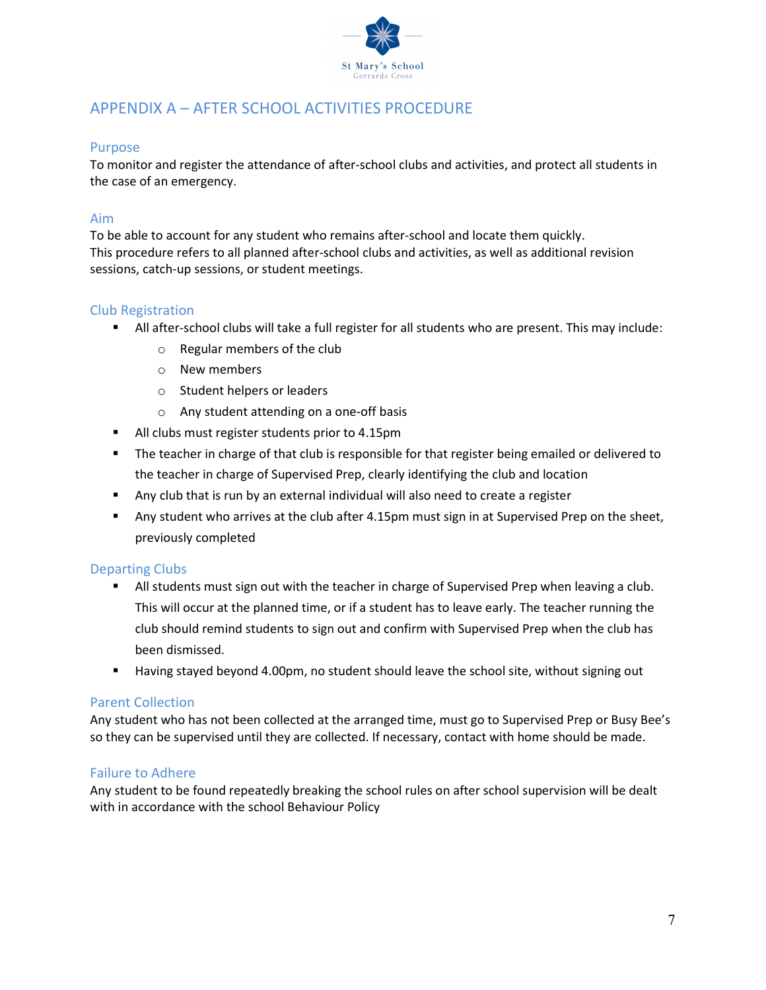

# APPENDIX A – AFTER SCHOOL ACTIVITIES PROCEDURE

#### Purpose

To monitor and register the attendance of after-school clubs and activities, and protect all students in the case of an emergency.

#### Aim

To be able to account for any student who remains after-school and locate them quickly. This procedure refers to all planned after-school clubs and activities, as well as additional revision sessions, catch-up sessions, or student meetings.

#### Club Registration

- All after-school clubs will take a full register for all students who are present. This may include:
	- o Regular members of the club
	- o New members
	- o Student helpers or leaders
	- o Any student attending on a one-off basis
- All clubs must register students prior to 4.15pm
- **The teacher in charge of that club is responsible for that register being emailed or delivered to** the teacher in charge of Supervised Prep, clearly identifying the club and location
- Any club that is run by an external individual will also need to create a register
- Any student who arrives at the club after 4.15pm must sign in at Supervised Prep on the sheet, previously completed

#### Departing Clubs

- All students must sign out with the teacher in charge of Supervised Prep when leaving a club. This will occur at the planned time, or if a student has to leave early. The teacher running the club should remind students to sign out and confirm with Supervised Prep when the club has been dismissed.
- Having stayed beyond 4.00pm, no student should leave the school site, without signing out

#### Parent Collection

Any student who has not been collected at the arranged time, must go to Supervised Prep or Busy Bee's so they can be supervised until they are collected. If necessary, contact with home should be made.

### Failure to Adhere

Any student to be found repeatedly breaking the school rules on after school supervision will be dealt with in accordance with the school Behaviour Policy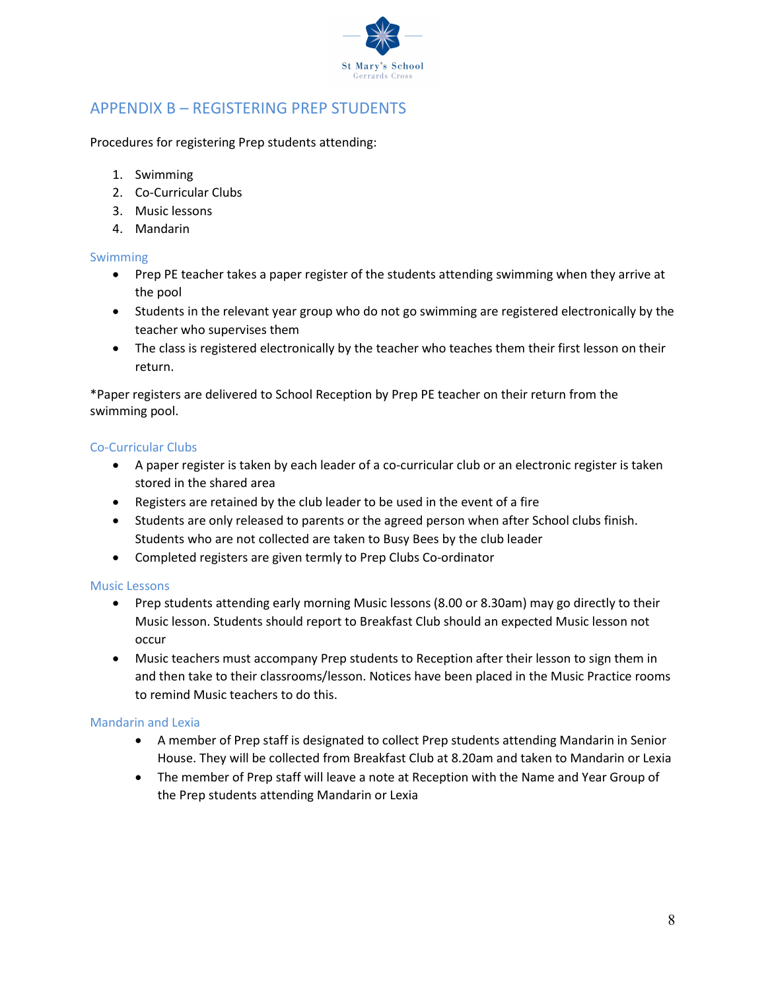

# APPENDIX B – REGISTERING PREP STUDENTS

Procedures for registering Prep students attending:

- 1. Swimming
- 2. Co-Curricular Clubs
- 3. Music lessons
- 4. Mandarin

#### Swimming

- Prep PE teacher takes a paper register of the students attending swimming when they arrive at the pool
- Students in the relevant year group who do not go swimming are registered electronically by the teacher who supervises them
- The class is registered electronically by the teacher who teaches them their first lesson on their return.

\*Paper registers are delivered to School Reception by Prep PE teacher on their return from the swimming pool.

#### Co-Curricular Clubs

- A paper register is taken by each leader of a co-curricular club or an electronic register is taken stored in the shared area
- Registers are retained by the club leader to be used in the event of a fire
- Students are only released to parents or the agreed person when after School clubs finish. Students who are not collected are taken to Busy Bees by the club leader
- Completed registers are given termly to Prep Clubs Co-ordinator

#### Music Lessons

- Prep students attending early morning Music lessons (8.00 or 8.30am) may go directly to their Music lesson. Students should report to Breakfast Club should an expected Music lesson not occur
- Music teachers must accompany Prep students to Reception after their lesson to sign them in and then take to their classrooms/lesson. Notices have been placed in the Music Practice rooms to remind Music teachers to do this.

#### Mandarin and Lexia

- A member of Prep staff is designated to collect Prep students attending Mandarin in Senior House. They will be collected from Breakfast Club at 8.20am and taken to Mandarin or Lexia
- The member of Prep staff will leave a note at Reception with the Name and Year Group of the Prep students attending Mandarin or Lexia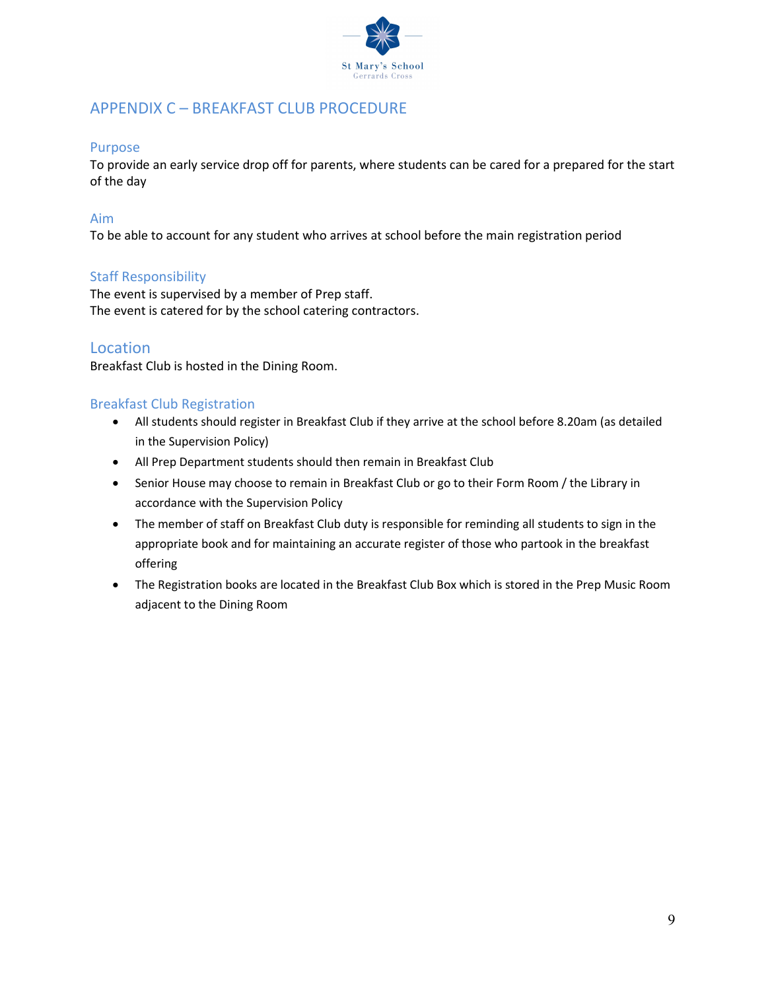

# APPENDIX C – BREAKFAST CLUB PROCEDURE

#### Purpose

To provide an early service drop off for parents, where students can be cared for a prepared for the start of the day

#### Aim

To be able to account for any student who arrives at school before the main registration period

### Staff Responsibility

The event is supervised by a member of Prep staff. The event is catered for by the school catering contractors.

### Location

Breakfast Club is hosted in the Dining Room.

#### Breakfast Club Registration

- All students should register in Breakfast Club if they arrive at the school before 8.20am (as detailed in the Supervision Policy)
- All Prep Department students should then remain in Breakfast Club
- Senior House may choose to remain in Breakfast Club or go to their Form Room / the Library in accordance with the Supervision Policy
- The member of staff on Breakfast Club duty is responsible for reminding all students to sign in the appropriate book and for maintaining an accurate register of those who partook in the breakfast offering
- The Registration books are located in the Breakfast Club Box which is stored in the Prep Music Room adjacent to the Dining Room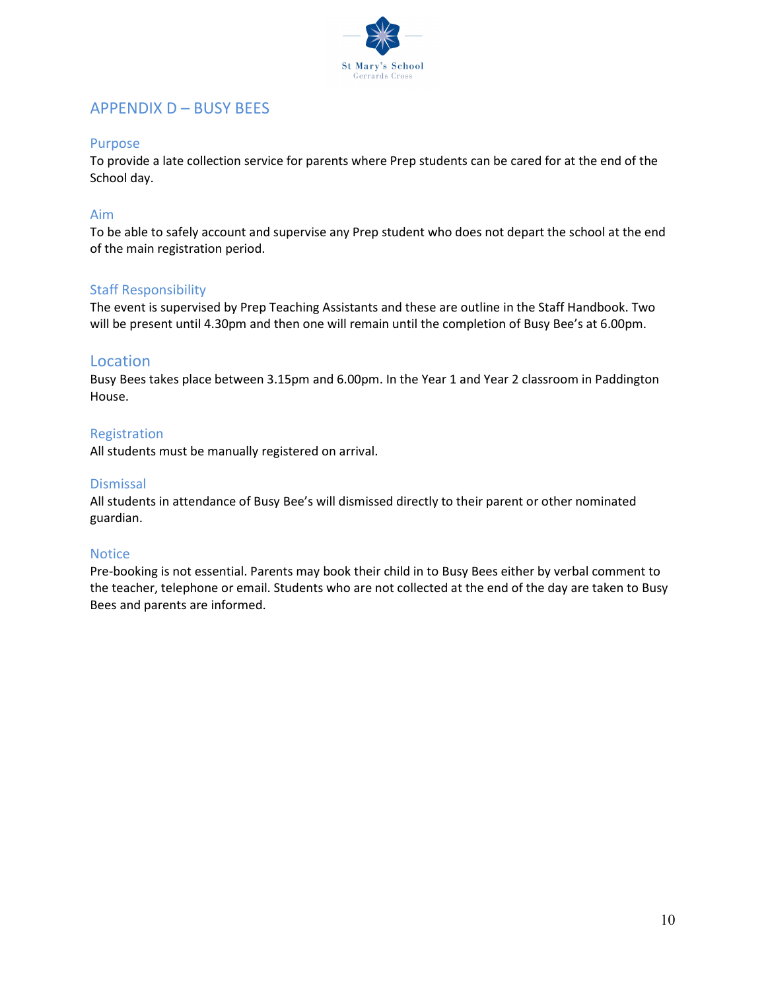

## APPENDIX D – BUSY BEES

#### Purpose

To provide a late collection service for parents where Prep students can be cared for at the end of the School day.

#### Aim

To be able to safely account and supervise any Prep student who does not depart the school at the end of the main registration period.

#### Staff Responsibility

The event is supervised by Prep Teaching Assistants and these are outline in the Staff Handbook. Two will be present until 4.30pm and then one will remain until the completion of Busy Bee's at 6.00pm.

### Location

Busy Bees takes place between 3.15pm and 6.00pm. In the Year 1 and Year 2 classroom in Paddington House.

#### Registration

All students must be manually registered on arrival.

#### Dismissal

All students in attendance of Busy Bee's will dismissed directly to their parent or other nominated guardian.

### **Notice**

Pre-booking is not essential. Parents may book their child in to Busy Bees either by verbal comment to the teacher, telephone or email. Students who are not collected at the end of the day are taken to Busy Bees and parents are informed.